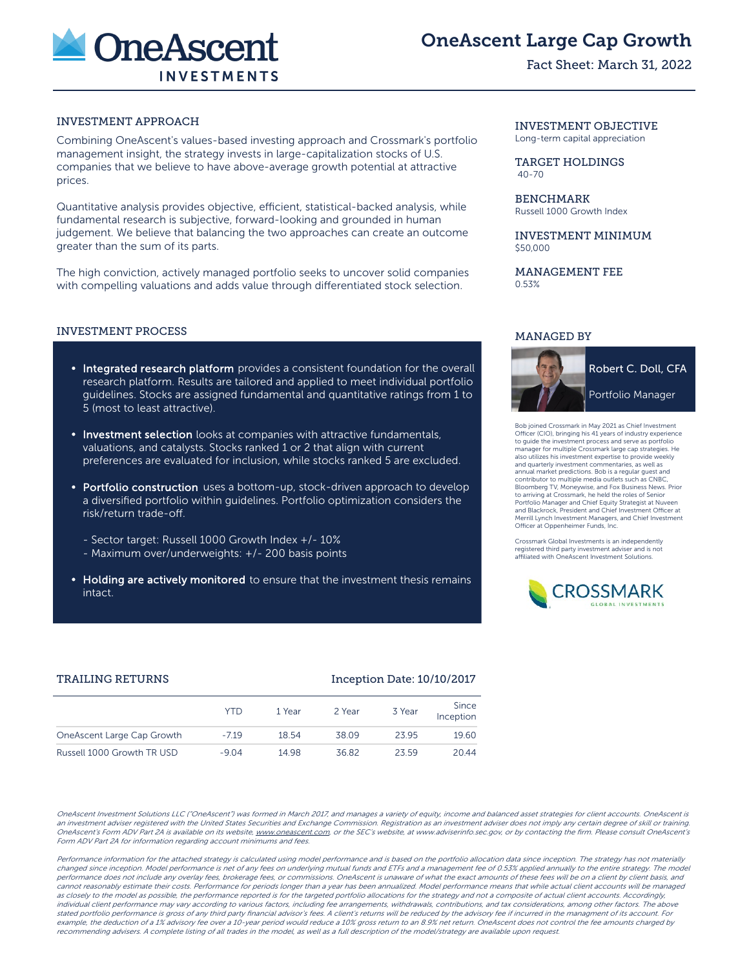

# OneAscent Large Cap Growth

Fact Sheet: March 31, 2022

# INVESTMENT APPROACH

Combining OneAscent's values-based investing approach and Crossmark's portfolio management insight, the strategy invests in large-capitalization stocks of U.S. companies that we believe to have above-average growth potential at attractive prices.

Quantitative analysis provides objective, efficient, statistical-backed analysis, while fundamental research is subjective, forward-looking and grounded in human judgement. We believe that balancing the two approaches can create an outcome greater than the sum of its parts.

The high conviction, actively managed portfolio seeks to uncover solid companies with compelling valuations and adds value through differentiated stock selection.

#### INVESTMENT PROCESS

- Integrated research platform provides a consistent foundation for the overall research platform. Results are tailored and applied to meet individual portfolio guidelines. Stocks are assigned fundamental and quantitative ratings from 1 to 5 (most to least attractive).
- **Investment selection** looks at companies with attractive fundamentals, valuations, and catalysts. Stocks ranked 1 or 2 that align with current preferences are evaluated for inclusion, while stocks ranked 5 are excluded.
- Portfolio construction uses a bottom-up, stock-driven approach to develop a diversified portfolio within guidelines. Portfolio optimization considers the risk/return trade-off.
	- Sector target: Russell 1000 Growth Index +/- 10%
	- Maximum over/underweights: +/- 200 basis points
- Holding are actively monitored to ensure that the investment thesis remains intact.

#### INVESTMENT OBJECTIVE Long-term capital appreciation

TARGET HOLDINGS 40-70

BENCHMARK Russell 1000 Growth Index

INVESTMENT MINIMUM \$50,000

MANAGEMENT FEE 0.53%

## MANAGED BY



ossmark in May 2021 as Chief Investmen Officer (CIO), bringing his 41 years of industry experience to guide the investment process and serve as portfolio manager for multiple Crossmark large cap strategies. He also utilizes his investment expertise to provide weekly and quarterly investment commentaries, as well as annual market predictions. Bob is a regular guest and contributor to multiple media outlets such as CNBC, Bloomberg TV, Moneywise, and Fox Business News. Prior to arriving at Crossmark, he held the roles of Senior Portfolio Manager and Chief Equity Strategist at Nuveen and Blackrock, President and Chief Investment Officer at Merrill Lynch Investment Managers, and Chief Investment Officer at Oppenheimer Funds, Inc.

Crossmark Global Investments is an independently registered third party investment adviser and is not affiliated with OneAscent Investment Solutions.



### TRAILING RETURNS **Inception Date: 10/10/2017**

|                            | YTD     | 1 Year | 2 Year | 3 Year | Since<br>Inception |
|----------------------------|---------|--------|--------|--------|--------------------|
| OneAscent Large Cap Growth | $-719$  | 18.54  | 38.09  | 2395   | 19.60              |
| Russell 1000 Growth TR USD | $-9.04$ | 14 98  | 36.82  | 23.59  | 20.44              |

OneAscent Investment Solutions LLC ("OneAscent") was formed in March 2017, and manages a variety of equity, income and balanced asset strategies for client accounts. OneAscent is an investment adviser registered with the United States Securities and Exchange Commission. Registration as an investment adviser does not imply any certain degree of skill or training. OneAscent's Form ADV Part 2A is available on its website, www.oneascent.com or the SEC's website, at www.adviserinfo.sec.gov, or by contacting the firm. Please consult OneAscent's Form ADV Part 2A for information regarding account minimums and fees.

Performance information for the attached strategy is calculated using model performance and is based on the portfolio allocation data since inception. The strategy has not materially changed since inception. Model performance is net of any fees on underlying mutual funds and ETFs and a management fee of 0.53% applied annually to the entire strategy. The model performance does not include any overlay fees, brokerage fees, or commissions. OneAscent is unaware of what the exact amounts of these fees will be on a client by client basis, and cannot reasonably estimate their costs. Performance for periods longer than a year has been annualized. Model performance means that while actual client accounts will be managed as closely to the model as possible, the performance reported is for the targeted portfolio allocations for the strategy and not a composite of actual client accounts. Accordingly, individual client performance may vary according to various factors, including fee arrangements, withdrawals, contributions, and tax considerations, among other factors. The above stated portfolio performance is gross of any third party financial advisor's fees. A client's returns will be reduced by the advisory fee if incurred in the managment of its account. For example, the deduction of a 1% advisory fee over a 10-year period would reduce a 10% gross return to an 8.9% net return. OneAscent does not control the fee amounts charged by recommending advisers. A complete listing of all trades in the model, as well as a full description of the model/strategy are available upon request.